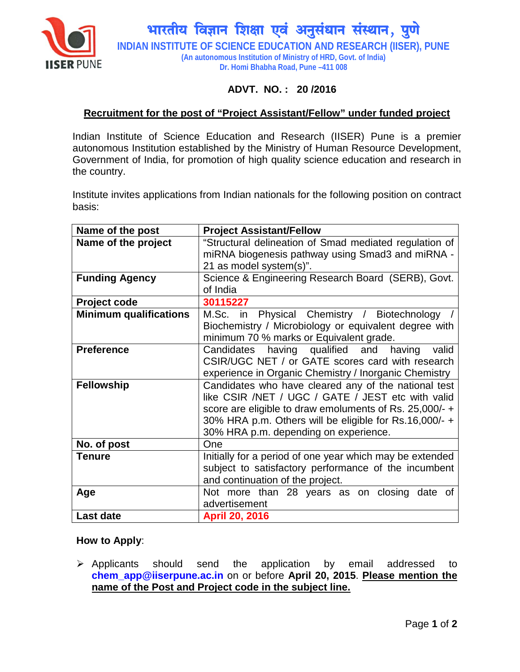

भारतीय विज्ञान शिक्षा एवं अनुसंधान संस्थान, पुणे **INDIAN INSTITUTE OF SCIENCE EDUCATION AND RESEARCH (IISER), PUNE (An autonomous Institution of Ministry of HRD, Govt. of India) Dr. Homi Bhabha Road, Pune –411 008**

# **ADVT. NO. : 20 /2016**

### **Recruitment for the post of "Project Assistant/Fellow" under funded project**

Indian Institute of Science Education and Research (IISER) Pune is a premier autonomous Institution established by the Ministry of Human Resource Development, Government of India, for promotion of high quality science education and research in the country.

Institute invites applications from Indian nationals for the following position on contract basis:

| Name of the post              | <b>Project Assistant/Fellow</b>                          |
|-------------------------------|----------------------------------------------------------|
| Name of the project           | "Structural delineation of Smad mediated regulation of   |
|                               | miRNA biogenesis pathway using Smad3 and miRNA -         |
|                               | 21 as model system(s)".                                  |
| <b>Funding Agency</b>         | Science & Engineering Research Board (SERB), Govt.       |
|                               | of India                                                 |
| Project code                  | 30115227                                                 |
| <b>Minimum qualifications</b> | M.Sc. in Physical Chemistry / Biotechnology              |
|                               | Biochemistry / Microbiology or equivalent degree with    |
|                               | minimum 70 % marks or Equivalent grade.                  |
| <b>Preference</b>             | Candidates having qualified and having<br>valid          |
|                               | CSIR/UGC NET / or GATE scores card with research         |
|                               | experience in Organic Chemistry / Inorganic Chemistry    |
| <b>Fellowship</b>             | Candidates who have cleared any of the national test     |
|                               | like CSIR /NET / UGC / GATE / JEST etc with valid        |
|                               | score are eligible to draw emoluments of Rs. 25,000/- +  |
|                               | 30% HRA p.m. Others will be eligible for Rs.16,000/- +   |
|                               | 30% HRA p.m. depending on experience.                    |
| No. of post                   | One                                                      |
| <b>Tenure</b>                 | Initially for a period of one year which may be extended |
|                               | subject to satisfactory performance of the incumbent     |
|                               | and continuation of the project.                         |
| Age                           | Not more than 28 years as on closing date of             |
|                               | advertisement                                            |
| <b>Last date</b>              | <b>April 20, 2016</b>                                    |

#### **How to Apply**:

 $\triangleright$  Applicants should send the application by email addressed to **chem\_app@iiserpune.ac.in** on or before **April 20, 2015**. **Please mention the name of the Post and Project code in the subject line.**